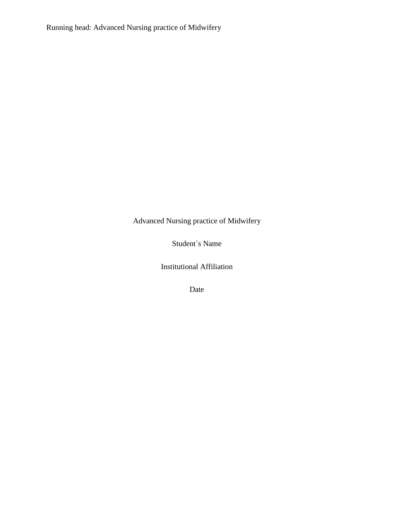Running head: Advanced Nursing practice of Midwifery

Advanced Nursing practice of Midwifery

Student`s Name

Institutional Affiliation

Date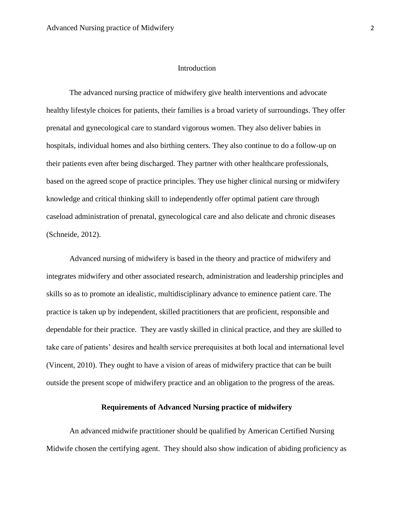### Introduction

The advanced nursing practice of midwifery give health interventions and advocate healthy lifestyle choices for patients, their families is a broad variety of surroundings. They offer prenatal and gynecological care to standard vigorous women. They also deliver babies in hospitals, individual homes and also birthing centers. They also continue to do a follow-up on their patients even after being discharged. They partner with other healthcare professionals, based on the agreed scope of practice principles. They use higher clinical nursing or midwifery knowledge and critical thinking skill to independently offer optimal patient care through caseload administration of prenatal, gynecological care and also delicate and chronic diseases (Schneide, 2012).

Advanced nursing of midwifery is based in the theory and practice of midwifery and integrates midwifery and other associated research, administration and leadership principles and skills so as to promote an idealistic, multidisciplinary advance to eminence patient care. The practice is taken up by independent, skilled practitioners that are proficient, responsible and dependable for their practice. They are vastly skilled in clinical practice, and they are skilled to take care of patients' desires and health service prerequisites at both local and international level (Vincent, 2010). They ought to have a vision of areas of midwifery practice that can be built outside the present scope of midwifery practice and an obligation to the progress of the areas.

### **Requirements of Advanced Nursing practice of midwifery**

An advanced midwife practitioner should be qualified by American Certified Nursing Midwife chosen the certifying agent. They should also show indication of abiding proficiency as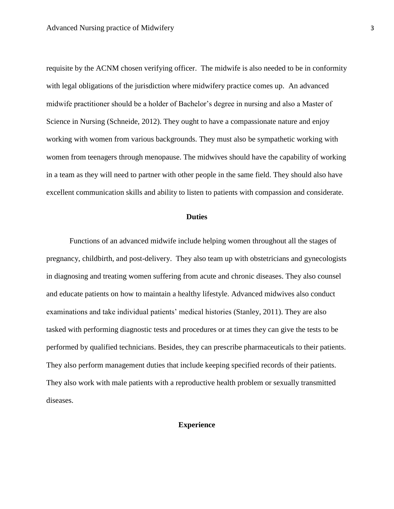requisite by the ACNM chosen verifying officer. The midwife is also needed to be in conformity with legal obligations of the jurisdiction where midwifery practice comes up. An advanced midwife practitioner should be a holder of Bachelor's degree in nursing and also a Master of Science in Nursing (Schneide, 2012). They ought to have a compassionate nature and enjoy working with women from various backgrounds. They must also be sympathetic working with women from teenagers through menopause. The midwives should have the capability of working in a team as they will need to partner with other people in the same field. They should also have excellent communication skills and ability to listen to patients with compassion and considerate.

### **Duties**

Functions of an advanced midwife include helping women throughout all the stages of pregnancy, childbirth, and post-delivery. They also team up with obstetricians and gynecologists in diagnosing and treating women suffering from acute and chronic diseases. They also counsel and educate patients on how to maintain a healthy lifestyle. Advanced midwives also conduct examinations and take individual patients' medical histories (Stanley, 2011). They are also tasked with performing diagnostic tests and procedures or at times they can give the tests to be performed by qualified technicians. Besides, they can prescribe pharmaceuticals to their patients. They also perform management duties that include keeping specified records of their patients. They also work with male patients with a reproductive health problem or sexually transmitted diseases.

# **Experience**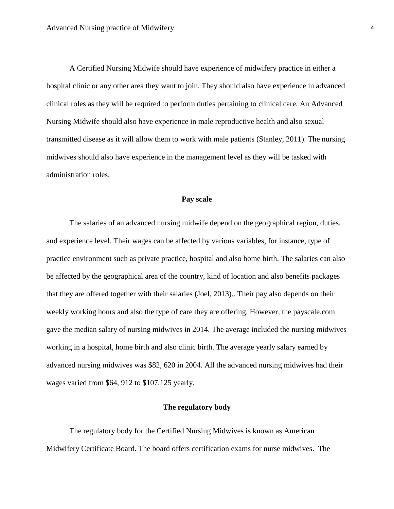A Certified Nursing Midwife should have experience of midwifery practice in either a hospital clinic or any other area they want to join. They should also have experience in advanced clinical roles as they will be required to perform duties pertaining to clinical care. An Advanced Nursing Midwife should also have experience in male reproductive health and also sexual transmitted disease as it will allow them to work with male patients (Stanley, 2011). The nursing midwives should also have experience in the management level as they will be tasked with administration roles.

### **Pay scale**

The salaries of an advanced nursing midwife depend on the geographical region, duties, and experience level. Their wages can be affected by various variables, for instance, type of practice environment such as private practice, hospital and also home birth. The salaries can also be affected by the geographical area of the country, kind of location and also benefits packages that they are offered together with their salaries (Joel, 2013).. Their pay also depends on their weekly working hours and also the type of care they are offering. However, the payscale.com gave the median salary of nursing midwives in 2014. The average included the nursing midwives working in a hospital, home birth and also clinic birth. The average yearly salary earned by advanced nursing midwives was \$82, 620 in 2004. All the advanced nursing midwives had their wages varied from \$64, 912 to \$107,125 yearly.

#### **The regulatory body**

The regulatory body for the Certified Nursing Midwives is known as American Midwifery Certificate Board. The board offers certification exams for nurse midwives. The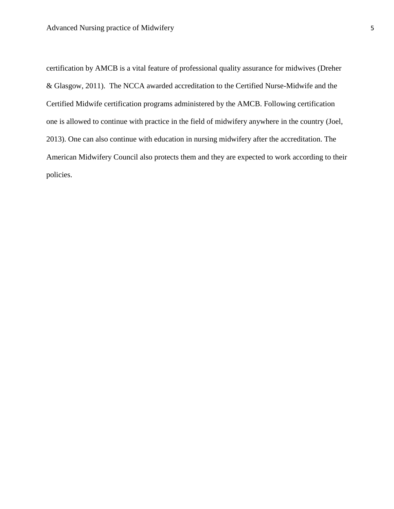certification by AMCB is a vital feature of professional quality assurance for midwives (Dreher & Glasgow, 2011). The NCCA awarded accreditation to the Certified Nurse-Midwife and the Certified Midwife certification programs administered by the AMCB. Following certification one is allowed to continue with practice in the field of midwifery anywhere in the country (Joel, 2013). One can also continue with education in nursing midwifery after the accreditation. The American Midwifery Council also protects them and they are expected to work according to their policies.